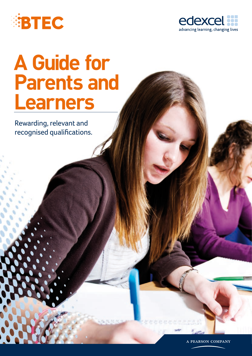



## **A Guide for Parents and Learners**

Rewarding, relevant and recognised qualifications.

A PEARSON COMPANY

22. 22. 22. 22. 22. 33. 34. 35. 35. 35. 35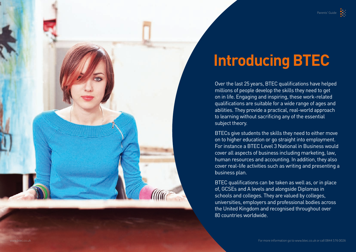## **Introducing BTEC**



Over the last 25 years, BTEC qualifications have helped millions of people develop the skills they need to get on in life. Engaging and inspiring, these work-related qualifications are suitable for a wide range of ages and abilities. They provide a practical, real-world approach to learning without sacrificing any of the essential subject theory.

BTECs give students the skills they need to either move on to higher education or go straight into employment. For instance a BTEC Level 3 National in Business would cover all aspects of business including marketing, law, human resources and accounting. In addition, they also cover real-life activities such as writing and presenting a business plan.

BTEC qualifications can be taken as well as, or in place of, GCSEs and A levels and alongside Diplomas in schools and colleges. They are valued by colleges, universities, employers and professional bodies across the United Kingdom and recognised throughout over 80 countries worldwide.

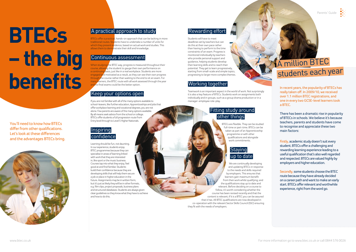Parents' Guide



# **BTECs – the big benefits**

#### A practical approach to study

BTECs offer a practical, hands-on approach that can be lacking in more traditional routes. Students have to undertake a number of units for which they present evidence, based on actual work and studies. This allows them to demonstrate their skill and knowledge.

#### Continuous assessment

When studying the BTEC way, progress is measured throughout their course, allowing the student to gauge their own performance on a continuing basis, just like in a real workplace. Students are more engaged and motivated as a result, as they can see their own progress the course rather than waiting to the end to sit an exam. For many learners, the BTEC route with all work assessed through the year and no final exams could be the better option.

#### **Inspiring** confidence

#### Keep your options open

If you are not familiar with all of the many options available to school-leavers, like further education, Apprenticeships and jobs that offer workplace learning and vocational degrees, you are not alone. Few parents are aware of the many options available. By all means seek advice from the school or college. BTECs offer students a full progression route from Entry level through to Level 5 Higher Nationals.

> BTECs are flexible. They can be studied full-time or part-time. BTECs can be taken as part of an Apprenticeship programme or with other qualifications and alongside .<br>work commitments.

#### **Staving** up to date

Learning should be fun, not daunting. In our experience, students enjoy BTEC programmes because they can specialise in areas of learning linked with work that they are interested in, like sport or the music business. Courses tap into what they enjoy, feel good at and find familiar. Students build their confidence because they are developing skills that will help them secure a job or place in higher education in the future. Assignments may be in written form, but it's just as likely they will be in other formats, e.g. film clips, project proposals, business plans and structured databases. Students are always given clear guidelines so they know what they have to achieve and how to do this.

#### Rewarding effort

Students will have to meet deadlines set by teachers but can do this at their own pace rather than having to perform to the time constraints of an exam. Progress is monitored individually by teachers who provide personal support and guidance, helping students develop their learning skills and to reach their potential. They get to learn progressively, starting from small-scale and simple topics, progressing to larger more complex themes.

#### Working together

Teamwork is an important aspect in the world of work. Not surprisingly it is also a key feature of BTECs. Students work on assignments both individually and in groups, such as a group drama production or in a manager-employee role-play.

#### Fitting study around other things

We are continually developing and updating BTECs in response to the needs and skills required by employers. This ensures that learners gain maximum benefit from their work whilst qualifying; and the qualifications stay up to date and relevant. Before deciding on a course to follow, it's worth considering whether the course has been revised recently and that the content is relevant; if it is a BTEC you can be assured that it has. All BTEC qualifications are now developed in co-operation with the relevant Sector Skills Council (SSC) ensuring they fit with the needs of employers.

You'll need to know how BTECs differ from other qualifications. Let's look at these differences and the advantages BTECs bring.



In recent years, the popularity of BTECs has really taken off. In 2009/10, we received over 1.1 million BTEC registrations, and one in every two GCSE-level learners took a BTEC.

There has been a dramatic rise in popularity of BTECs in schools. We believe it's because teachers, parents and students have come to recognise and appreciate these two main factors:

Firstly, academic study doesn't suit every student. BTECs offer a challenging and rewarding learning experience leading to a useful qualification that's also well regarded and respected. BTECs are valued highly by employers and higher education.

Secondly, some students choose the BTEC route because they have already decided on a career path and want to make an early start. BTECs offer relevant and worthwhile experience, right from the word go.

### A million BTEC students each year